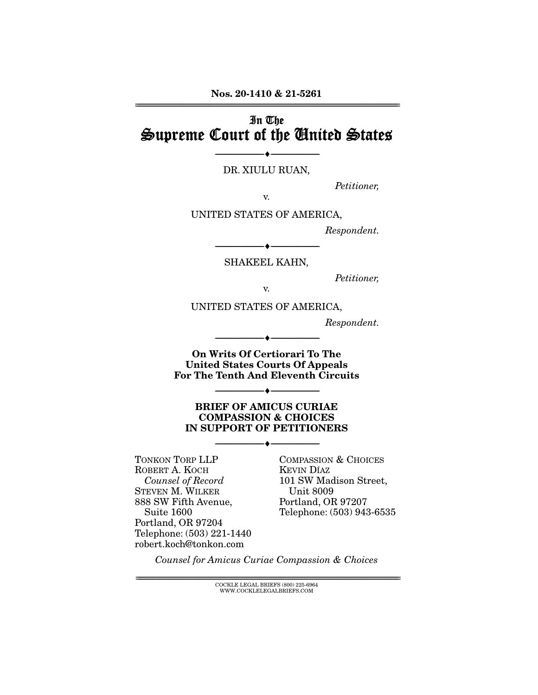**Nos. 20-1410 & 21-5261**  ================================================================================================================

## In The Supreme Court of the United States

### --------------------------------- ♦ --------------------------------- DR. XIULU RUAN,

Petitioner,

v.

UNITED STATES OF AMERICA,

Respondent.

--------------------------------- ♦ --------------------------------- SHAKEEL KAHN,

Petitioner,

v.

UNITED STATES OF AMERICA,

Respondent.

**On Writs Of Certiorari To The United States Courts Of Appeals For The Tenth And Eleventh Circuits** 

--------------------------------- ♦ ---------------------------------

--------------------------------- ♦ ---------------------------------

#### **BRIEF OF AMICUS CURIAE COMPASSION & CHOICES IN SUPPORT OF PETITIONERS**

--------------------------------- ♦ ---------------------------------

TONKON TORP LLP ROBERT A. KOCH Counsel of Record STEVEN M. WILKER 888 SW Fifth Avenue, Suite 1600 Portland, OR 97204 Telephone: (503) 221-1440 robert.koch@tonkon.com

COMPASSION & CHOICES KEVIN DÍAZ 101 SW Madison Street, Unit 8009 Portland, OR 97207 Telephone: (503) 943-6535

Counsel for Amicus Curiae Compassion & Choices

================================================================================================================ COCKLE LEGAL BRIEFS (800) 225-6964 WWW.COCKLELEGALBRIEFS.COM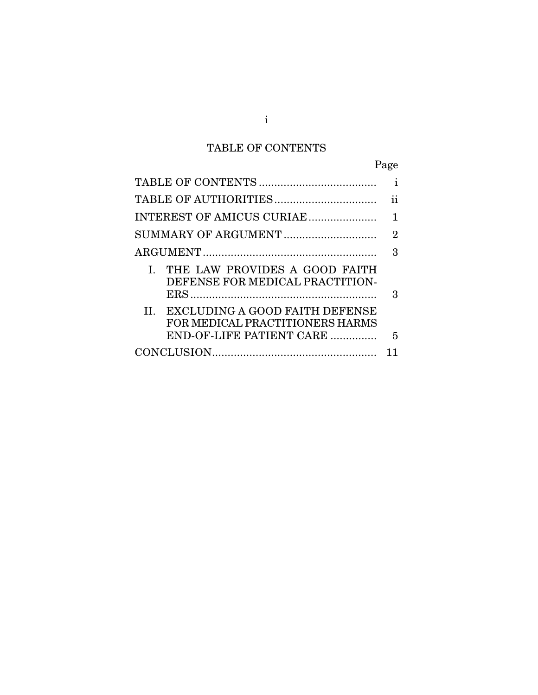# TABLE OF CONTENTS

|                                                                                                   | Page           |
|---------------------------------------------------------------------------------------------------|----------------|
|                                                                                                   | i              |
|                                                                                                   | ij             |
| INTEREST OF AMICUS CURIAE                                                                         |                |
|                                                                                                   | $\overline{2}$ |
|                                                                                                   | 3              |
| THE LAW PROVIDES A GOOD FAITH<br>L<br>DEFENSE FOR MEDICAL PRACTITION-                             | З              |
| II. EXCLUDING A GOOD FAITH DEFENSE<br>FOR MEDICAL PRACTITIONERS HARMS<br>END-OF-LIFE PATIENT CARE | 5              |
|                                                                                                   |                |

i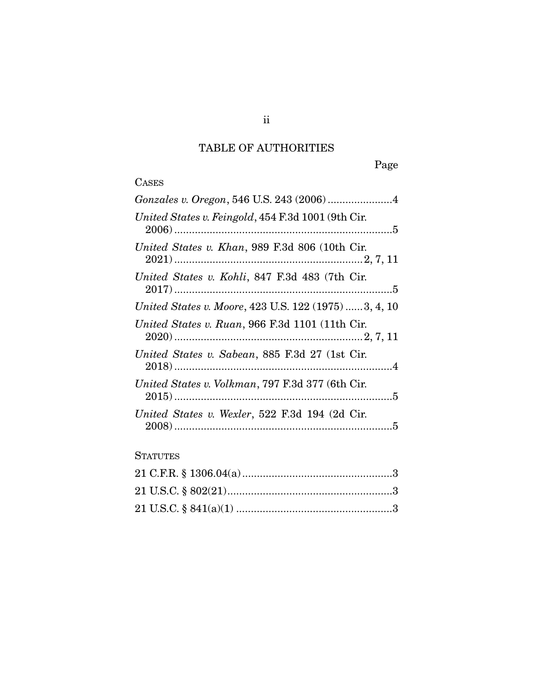## TABLE OF AUTHORITIES

Page

# **CASES**

| Gonzales v. Oregon, 546 U.S. 243 (2006) 4            |
|------------------------------------------------------|
| United States v. Feingold, 454 F.3d 1001 (9th Cir.   |
| United States v. Khan, 989 F.3d 806 (10th Cir.       |
| United States v. Kohli, 847 F.3d 483 (7th Cir.       |
| United States v. Moore, 423 U.S. 122 (1975) 3, 4, 10 |
| United States v. Ruan, 966 F.3d 1101 (11th Cir.      |
| United States v. Sabean, 885 F.3d 27 (1st Cir.       |
| United States v. Volkman, 797 F.3d 377 (6th Cir.     |
| United States v. Wexler, 522 F.3d 194 (2d Cir.       |
|                                                      |

#### **STATUTES**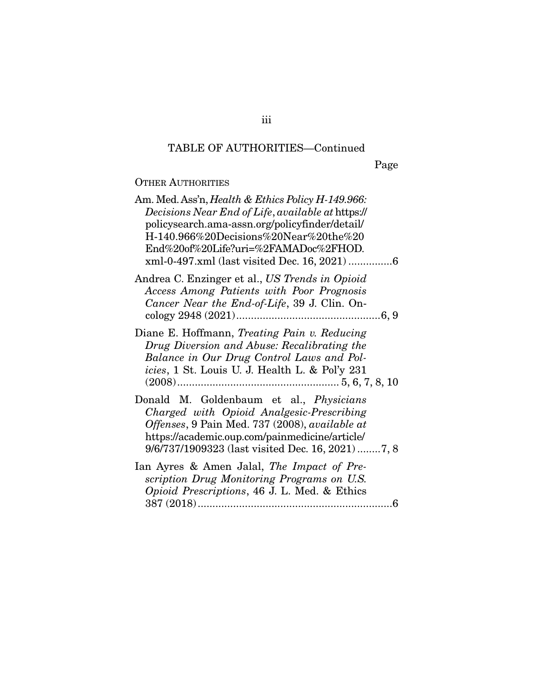Page

### OTHER AUTHORITIES

| Am. Med. Ass'n, <i>Health &amp; Ethics Policy H-149.966</i> :<br>Decisions Near End of Life, available at https://<br>policysearch.ama-assn.org/policyfinder/detail/<br>$H-140.966\%20$ Decisions%20Near%20the%20<br>End%20of%20Life?uri=%2FAMADoc%2FHOD. |
|-----------------------------------------------------------------------------------------------------------------------------------------------------------------------------------------------------------------------------------------------------------|
| Andrea C. Enzinger et al., US Trends in Opioid<br>Access Among Patients with Poor Prognosis<br>Cancer Near the End-of-Life, 39 J. Clin. On-                                                                                                               |
| Diane E. Hoffmann, Treating Pain v. Reducing<br>Drug Diversion and Abuse: Recalibrating the<br>Balance in Our Drug Control Laws and Pol-<br><i>icies</i> , 1 St. Louis U. J. Health L. & Pol'y 231                                                        |
| Donald M. Goldenbaum et al., Physicians<br>Charged with Opioid Analgesic-Prescribing<br>Offenses, 9 Pain Med. 737 (2008), available at<br>https://academic.oup.com/painmedicine/article/<br>9/6/737/1909323 (last visited Dec. 16, 2021) 7, 8             |
| Ian Ayres & Amen Jalal, The Impact of Pre-<br>scription Drug Monitoring Programs on U.S.<br>Opioid Prescriptions, 46 J. L. Med. & Ethics                                                                                                                  |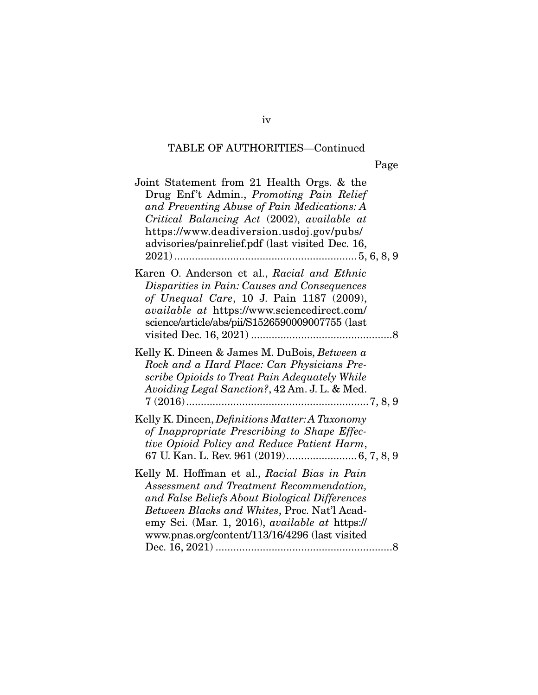| Joint Statement from 21 Health Orgs. & the<br>Drug Enf't Admin., Promoting Pain Relief<br>and Preventing Abuse of Pain Medications: A<br>Critical Balancing Act (2002), available at<br>https://www.deadiversion.usdoj.gov/pubs/<br>advisories/painrelief.pdf (last visited Dec. 16,                  |
|-------------------------------------------------------------------------------------------------------------------------------------------------------------------------------------------------------------------------------------------------------------------------------------------------------|
| Karen O. Anderson et al., Racial and Ethnic<br>Disparities in Pain: Causes and Consequences<br>of Unequal Care, 10 J. Pain 1187 (2009),<br>available at https://www.sciencedirect.com/<br>science/article/abs/pii/S1526590009007755 (last                                                             |
| Kelly K. Dineen & James M. DuBois, Between a<br>Rock and a Hard Place: Can Physicians Pre-<br>scribe Opioids to Treat Pain Adequately While<br>Avoiding Legal Sanction?, 42 Am. J. L. & Med.                                                                                                          |
| Kelly K. Dineen, <i>Definitions Matter: A Taxonomy</i><br>of Inappropriate Prescribing to Shape Effec-<br>tive Opioid Policy and Reduce Patient Harm,                                                                                                                                                 |
| Kelly M. Hoffman et al., Racial Bias in Pain<br>Assessment and Treatment Recommendation,<br>and False Beliefs About Biological Differences<br>Between Blacks and Whites, Proc. Nat'l Acad-<br>emy Sci. (Mar. 1, 2016), <i>available at https://</i><br>www.pnas.org/content/113/16/4296 (last visited |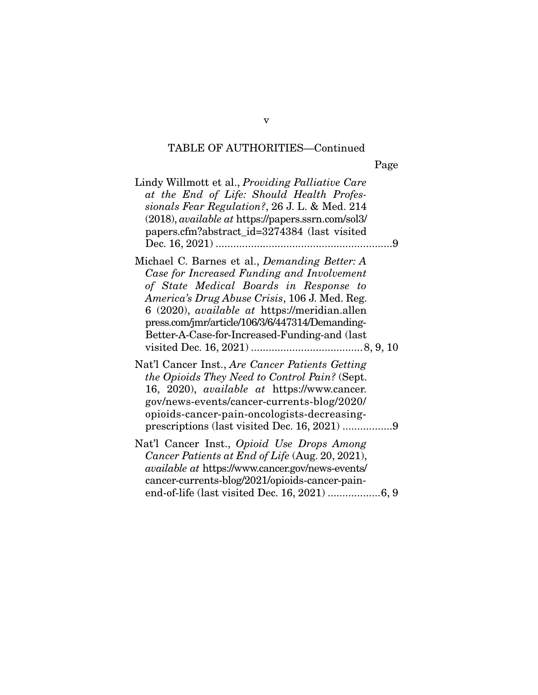Page

| Lindy Willmott et al., <i>Providing Palliative Care</i><br>at the End of Life: Should Health Profes-<br>sionals Fear Regulation?, 26 J. L. & Med. 214<br>(2018), available at https://papers.ssrn.com/sol3/<br>papers.cfm?abstract_id=3274384 (last visited                                                                                               |
|-----------------------------------------------------------------------------------------------------------------------------------------------------------------------------------------------------------------------------------------------------------------------------------------------------------------------------------------------------------|
| Michael C. Barnes et al., <i>Demanding Better: A</i><br>Case for Increased Funding and Involvement<br>of State Medical Boards in Response to<br>America's Drug Abuse Crisis, 106 J. Med. Reg.<br>6 (2020), <i>available at</i> https://meridian.allen<br>press.com/jmr/article/106/3/6/447314/Demanding-<br>Better-A-Case-for-Increased-Funding-and (last |
| Nat'l Cancer Inst., Are Cancer Patients Getting<br>the Opioids They Need to Control Pain? (Sept.<br>16, 2020), <i>available at https://www.cancer.</i><br>gov/news-events/cancer-currents-blog/2020/<br>opioids-cancer-pain-oncologists-decreasing-                                                                                                       |
| Nat'l Cancer Inst., Opioid Use Drops Among<br>Cancer Patients at End of Life (Aug. 20, 2021),<br><i>available at https://www.cancer.gov/news-events/</i><br>cancer-currents-blog/2021/opioids-cancer-pain-                                                                                                                                                |

v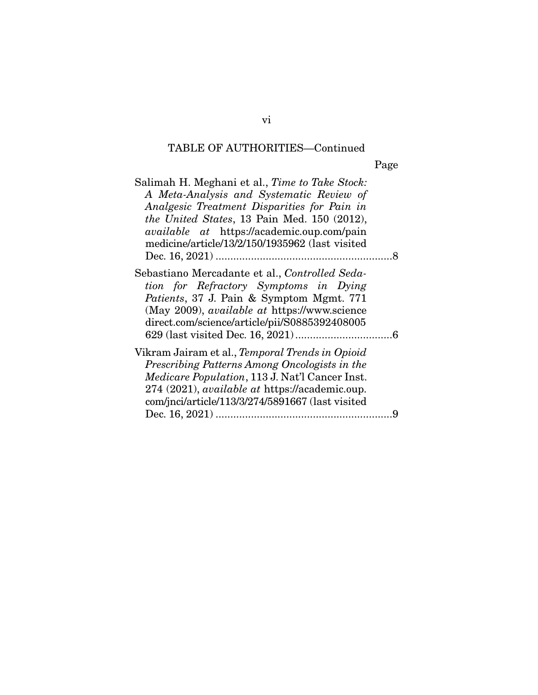Page

| Salimah H. Meghani et al., Time to Take Stock:<br>A Meta-Analysis and Systematic Review of<br>Analgesic Treatment Disparities for Pain in<br>the United States, 13 Pain Med. 150 (2012),<br><i>available at</i> https://academic.oup.com/pain<br>medicine/article/13/2/150/1935962 (last visited |  |
|--------------------------------------------------------------------------------------------------------------------------------------------------------------------------------------------------------------------------------------------------------------------------------------------------|--|
| Sebastiano Mercadante et al., Controlled Seda-<br>tion for Refractory Symptoms in Dying<br><i>Patients</i> , 37 J. Pain & Symptom Mgmt. 771<br>(May 2009), <i>available at https://www.science</i><br>direct.com/science/article/pii/S0885392408005                                              |  |
| Vikram Jairam et al., Temporal Trends in Opioid<br>Prescribing Patterns Among Oncologists in the<br><i>Medicare Population</i> , 113 J. Nat'l Cancer Inst.<br>274 (2021), <i>available at https://academic.oup.</i><br>com/jnci/article/113/3/274/5891667 (last visited                          |  |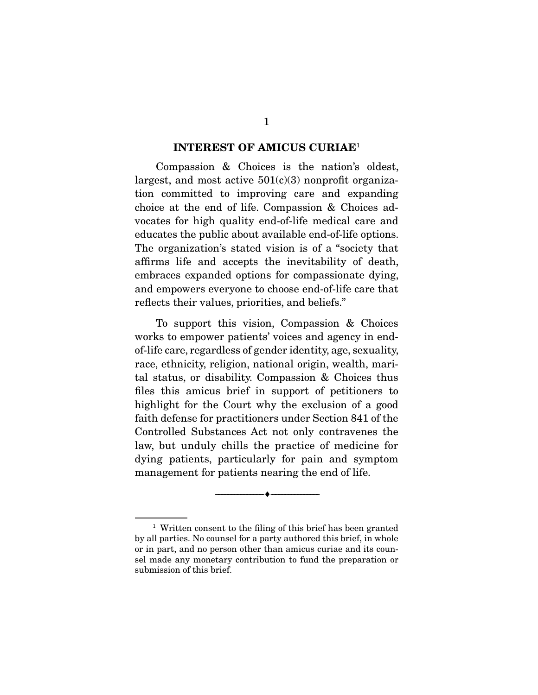#### **INTEREST OF AMICUS CURIAE**<sup>1</sup>

 Compassion & Choices is the nation's oldest, largest, and most active  $501(c)(3)$  nonprofit organization committed to improving care and expanding choice at the end of life. Compassion & Choices advocates for high quality end-of-life medical care and educates the public about available end-of-life options. The organization's stated vision is of a "society that affirms life and accepts the inevitability of death, embraces expanded options for compassionate dying, and empowers everyone to choose end-of-life care that reflects their values, priorities, and beliefs."

 To support this vision, Compassion & Choices works to empower patients' voices and agency in endof-life care, regardless of gender identity, age, sexuality, race, ethnicity, religion, national origin, wealth, marital status, or disability. Compassion & Choices thus files this amicus brief in support of petitioners to highlight for the Court why the exclusion of a good faith defense for practitioners under Section 841 of the Controlled Substances Act not only contravenes the law, but unduly chills the practice of medicine for dying patients, particularly for pain and symptom management for patients nearing the end of life.

--------------------------------- ♦ ---------------------------------

<sup>&</sup>lt;sup>1</sup> Written consent to the filing of this brief has been granted by all parties. No counsel for a party authored this brief, in whole or in part, and no person other than amicus curiae and its counsel made any monetary contribution to fund the preparation or submission of this brief.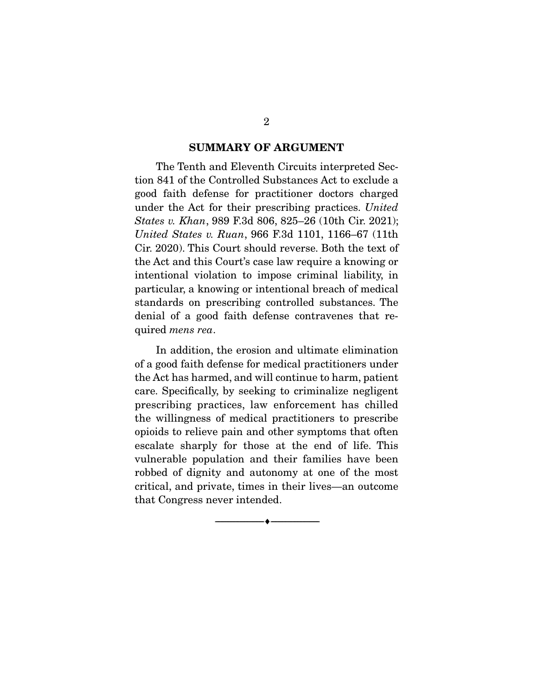#### **SUMMARY OF ARGUMENT**

 The Tenth and Eleventh Circuits interpreted Section 841 of the Controlled Substances Act to exclude a good faith defense for practitioner doctors charged under the Act for their prescribing practices. United States v. Khan, 989 F.3d 806, 825–26 (10th Cir. 2021); United States v. Ruan, 966 F.3d 1101, 1166–67 (11th Cir. 2020). This Court should reverse. Both the text of the Act and this Court's case law require a knowing or intentional violation to impose criminal liability, in particular, a knowing or intentional breach of medical standards on prescribing controlled substances. The denial of a good faith defense contravenes that required mens rea.

 In addition, the erosion and ultimate elimination of a good faith defense for medical practitioners under the Act has harmed, and will continue to harm, patient care. Specifically, by seeking to criminalize negligent prescribing practices, law enforcement has chilled the willingness of medical practitioners to prescribe opioids to relieve pain and other symptoms that often escalate sharply for those at the end of life. This vulnerable population and their families have been robbed of dignity and autonomy at one of the most critical, and private, times in their lives—an outcome that Congress never intended.

--------------------------------- ♦ ---------------------------------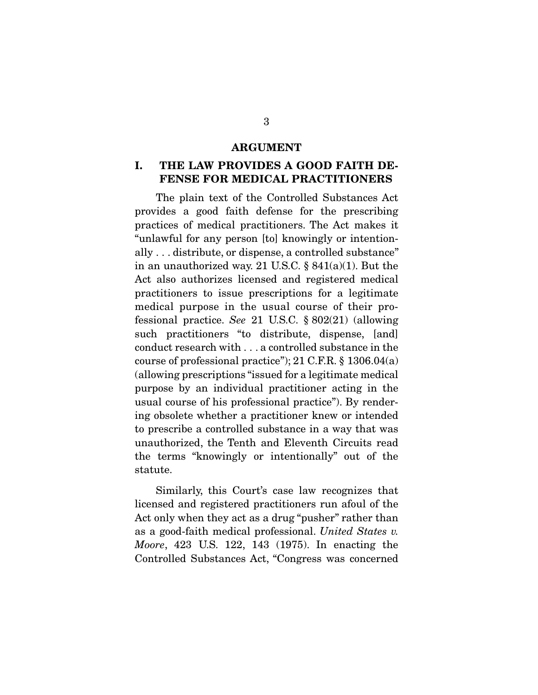#### **ARGUMENT**

#### **I. THE LAW PROVIDES A GOOD FAITH DE-FENSE FOR MEDICAL PRACTITIONERS**

 The plain text of the Controlled Substances Act provides a good faith defense for the prescribing practices of medical practitioners. The Act makes it "unlawful for any person [to] knowingly or intentionally . . . distribute, or dispense, a controlled substance" in an unauthorized way. 21 U.S.C.  $\S 841(a)(1)$ . But the Act also authorizes licensed and registered medical practitioners to issue prescriptions for a legitimate medical purpose in the usual course of their professional practice. See 21 U.S.C. § 802(21) (allowing such practitioners "to distribute, dispense, [and] conduct research with . . . a controlled substance in the course of professional practice"); 21 C.F.R. § 1306.04(a) (allowing prescriptions "issued for a legitimate medical purpose by an individual practitioner acting in the usual course of his professional practice"). By rendering obsolete whether a practitioner knew or intended to prescribe a controlled substance in a way that was unauthorized, the Tenth and Eleventh Circuits read the terms "knowingly or intentionally" out of the statute.

 Similarly, this Court's case law recognizes that licensed and registered practitioners run afoul of the Act only when they act as a drug "pusher" rather than as a good-faith medical professional. United States v. Moore, 423 U.S. 122, 143 (1975). In enacting the Controlled Substances Act, "Congress was concerned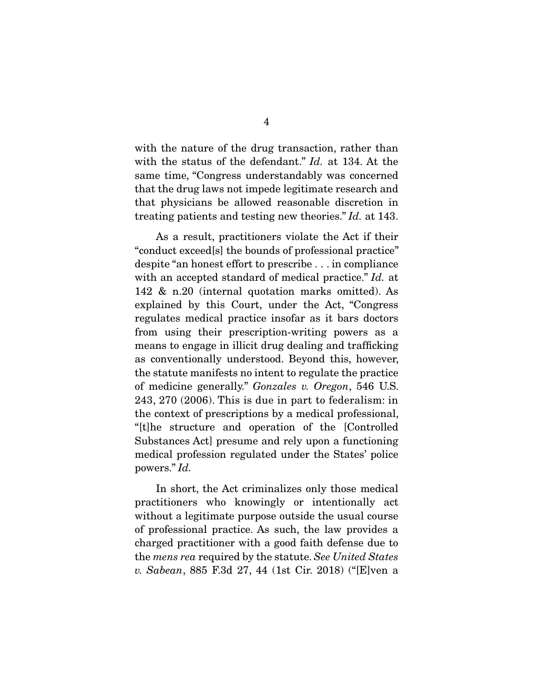with the nature of the drug transaction, rather than with the status of the defendant." Id. at 134. At the same time, "Congress understandably was concerned that the drug laws not impede legitimate research and that physicians be allowed reasonable discretion in treating patients and testing new theories." Id. at 143.

 As a result, practitioners violate the Act if their "conduct exceed[s] the bounds of professional practice" despite "an honest effort to prescribe . . . in compliance with an accepted standard of medical practice." Id. at 142 & n.20 (internal quotation marks omitted). As explained by this Court, under the Act, "Congress regulates medical practice insofar as it bars doctors from using their prescription-writing powers as a means to engage in illicit drug dealing and trafficking as conventionally understood. Beyond this, however, the statute manifests no intent to regulate the practice of medicine generally." Gonzales v. Oregon, 546 U.S. 243, 270 (2006). This is due in part to federalism: in the context of prescriptions by a medical professional, "[t]he structure and operation of the [Controlled Substances Act] presume and rely upon a functioning medical profession regulated under the States' police powers." Id.

 In short, the Act criminalizes only those medical practitioners who knowingly or intentionally act without a legitimate purpose outside the usual course of professional practice. As such, the law provides a charged practitioner with a good faith defense due to the mens rea required by the statute. See United States v. Sabean, 885 F.3d 27, 44 (1st Cir. 2018) ("[E]ven a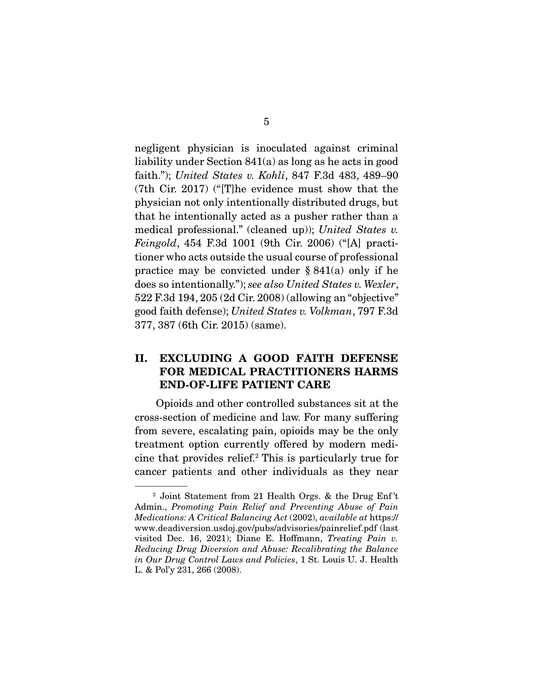negligent physician is inoculated against criminal liability under Section 841(a) as long as he acts in good faith."); United States v. Kohli, 847 F.3d 483, 489–90 (7th Cir. 2017) ("[T]he evidence must show that the physician not only intentionally distributed drugs, but that he intentionally acted as a pusher rather than a medical professional." (cleaned up)); United States v. Feingold, 454 F.3d 1001 (9th Cir. 2006) ("[A] practitioner who acts outside the usual course of professional practice may be convicted under  $\S 841(a)$  only if he does so intentionally."); see also United States v. Wexler, 522 F.3d 194, 205 (2d Cir. 2008) (allowing an "objective" good faith defense); United States v. Volkman, 797 F.3d 377, 387 (6th Cir. 2015) (same).

#### **II. EXCLUDING A GOOD FAITH DEFENSE FOR MEDICAL PRACTITIONERS HARMS END-OF-LIFE PATIENT CARE**

 Opioids and other controlled substances sit at the cross-section of medicine and law. For many suffering from severe, escalating pain, opioids may be the only treatment option currently offered by modern medicine that provides relief.2 This is particularly true for cancer patients and other individuals as they near

<sup>&</sup>lt;sup>2</sup> Joint Statement from 21 Health Orgs. & the Drug Enf't Admin., Promoting Pain Relief and Preventing Abuse of Pain Medications: A Critical Balancing Act (2002), available at https:// www.deadiversion.usdoj.gov/pubs/advisories/painrelief.pdf (last visited Dec. 16, 2021); Diane E. Hoffmann, Treating Pain v. Reducing Drug Diversion and Abuse: Recalibrating the Balance in Our Drug Control Laws and Policies, 1 St. Louis U. J. Health L. & Pol'y 231, 266 (2008).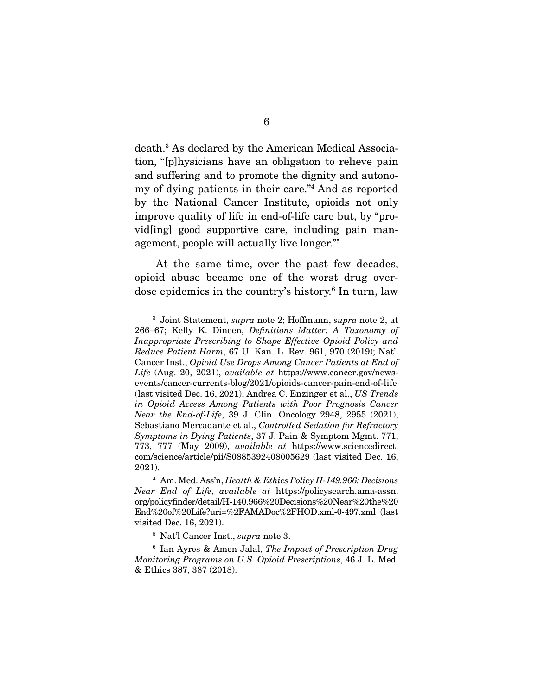death.3 As declared by the American Medical Association, "[p]hysicians have an obligation to relieve pain and suffering and to promote the dignity and autonomy of dying patients in their care."4 And as reported by the National Cancer Institute, opioids not only improve quality of life in end-of-life care but, by "provid[ing] good supportive care, including pain management, people will actually live longer."5

 At the same time, over the past few decades, opioid abuse became one of the worst drug overdose epidemics in the country's history.<sup>6</sup> In turn, law

<sup>3</sup> Joint Statement, supra note 2; Hoffmann, supra note 2, at 266–67; Kelly K. Dineen, Definitions Matter: A Taxonomy of Inappropriate Prescribing to Shape Effective Opioid Policy and Reduce Patient Harm, 67 U. Kan. L. Rev. 961, 970 (2019); Nat'l Cancer Inst., Opioid Use Drops Among Cancer Patients at End of Life (Aug. 20, 2021), *available at https://www.cancer.gov/news*events/cancer-currents-blog/2021/opioids-cancer-pain-end-of-life (last visited Dec. 16, 2021); Andrea C. Enzinger et al., US Trends in Opioid Access Among Patients with Poor Prognosis Cancer Near the End-of-Life, 39 J. Clin. Oncology 2948, 2955 (2021); Sebastiano Mercadante et al., Controlled Sedation for Refractory Symptoms in Dying Patients, 37 J. Pain & Symptom Mgmt. 771, 773, 777 (May 2009), available at https://www.sciencedirect. com/science/article/pii/S0885392408005629 (last visited Dec. 16, 2021).

 $4$  Am. Med. Ass'n, Health & Ethics Policy H-149.966: Decisions Near End of Life, available at https://policysearch.ama-assn. org/policyfinder/detail/H-140.966%20Decisions%20Near%20the%20 End%20of%20Life?uri=%2FAMADoc%2FHOD.xml-0-497.xml (last visited Dec. 16, 2021).

<sup>5</sup> Nat'l Cancer Inst., supra note 3.

 $6$  Ian Ayres & Amen Jalal, The Impact of Prescription Drug Monitoring Programs on U.S. Opioid Prescriptions, 46 J. L. Med. & Ethics 387, 387 (2018).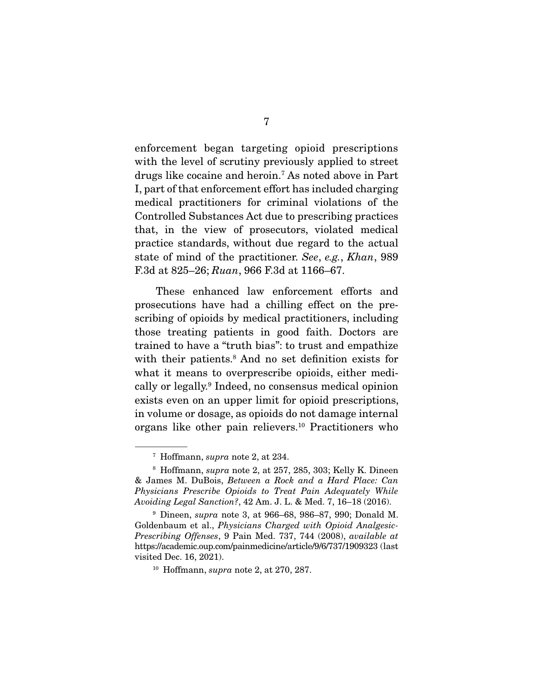enforcement began targeting opioid prescriptions with the level of scrutiny previously applied to street drugs like cocaine and heroin.7 As noted above in Part I, part of that enforcement effort has included charging medical practitioners for criminal violations of the Controlled Substances Act due to prescribing practices that, in the view of prosecutors, violated medical practice standards, without due regard to the actual state of mind of the practitioner. See, e.g., Khan, 989 F.3d at 825–26; Ruan, 966 F.3d at 1166–67.

 These enhanced law enforcement efforts and prosecutions have had a chilling effect on the prescribing of opioids by medical practitioners, including those treating patients in good faith. Doctors are trained to have a "truth bias": to trust and empathize with their patients.<sup>8</sup> And no set definition exists for what it means to overprescribe opioids, either medically or legally.9 Indeed, no consensus medical opinion exists even on an upper limit for opioid prescriptions, in volume or dosage, as opioids do not damage internal organs like other pain relievers.10 Practitioners who

 $7$  Hoffmann, supra note 2, at 234.

 $8$  Hoffmann, *supra* note 2, at 257, 285, 303; Kelly K. Dineen & James M. DuBois, Between a Rock and a Hard Place: Can Physicians Prescribe Opioids to Treat Pain Adequately While Avoiding Legal Sanction?, 42 Am. J. L. & Med. 7, 16–18 (2016).

<sup>9</sup> Dineen, supra note 3, at 966–68, 986–87, 990; Donald M. Goldenbaum et al., Physicians Charged with Opioid Analgesic-Prescribing Offenses, 9 Pain Med. 737, 744 (2008), available at https://academic.oup.com/painmedicine/article/9/6/737/1909323 (last visited Dec. 16, 2021).

 $10$  Hoffmann, supra note 2, at 270, 287.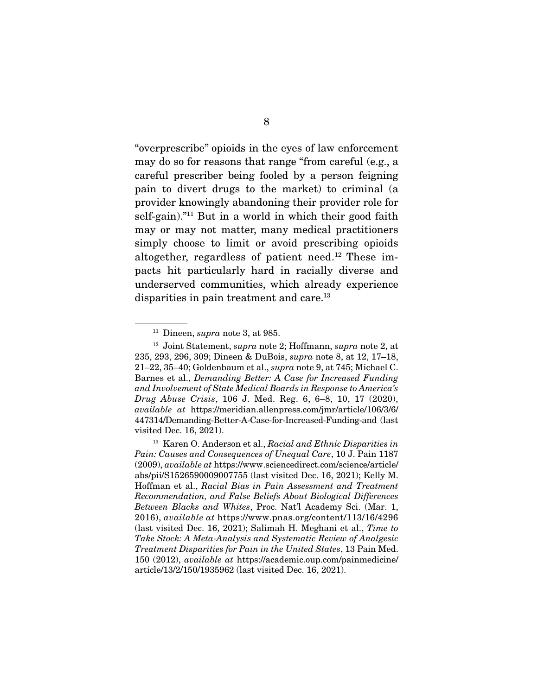"overprescribe" opioids in the eyes of law enforcement may do so for reasons that range "from careful (e.g., a careful prescriber being fooled by a person feigning pain to divert drugs to the market) to criminal (a provider knowingly abandoning their provider role for self-gain)."<sup>11</sup> But in a world in which their good faith may or may not matter, many medical practitioners simply choose to limit or avoid prescribing opioids altogether, regardless of patient need.12 These impacts hit particularly hard in racially diverse and underserved communities, which already experience disparities in pain treatment and care.<sup>13</sup>

 $11$  Dineen, *supra* note 3, at 985.

<sup>12</sup> Joint Statement, supra note 2; Hoffmann, supra note 2, at 235, 293, 296, 309; Dineen & DuBois, supra note 8, at 12, 17–18, 21–22, 35–40; Goldenbaum et al., supra note 9, at 745; Michael C. Barnes et al., Demanding Better: A Case for Increased Funding and Involvement of State Medical Boards in Response to America's Drug Abuse Crisis, 106 J. Med. Reg. 6, 6–8, 10, 17 (2020), available at https://meridian.allenpress.com/jmr/article/106/3/6/ 447314/Demanding-Better-A-Case-for-Increased-Funding-and (last visited Dec. 16, 2021).

<sup>&</sup>lt;sup>13</sup> Karen O. Anderson et al., Racial and Ethnic Disparities in Pain: Causes and Consequences of Unequal Care, 10 J. Pain 1187 (2009), available at https://www.sciencedirect.com/science/article/ abs/pii/S1526590009007755 (last visited Dec. 16, 2021); Kelly M. Hoffman et al., Racial Bias in Pain Assessment and Treatment Recommendation, and False Beliefs About Biological Differences Between Blacks and Whites, Proc. Nat'l Academy Sci. (Mar. 1, 2016), available at https://www.pnas.org/content/113/16/4296 (last visited Dec. 16, 2021); Salimah H. Meghani et al., Time to Take Stock: A Meta-Analysis and Systematic Review of Analgesic Treatment Disparities for Pain in the United States, 13 Pain Med. 150 (2012), available at https://academic.oup.com/painmedicine/ article/13/2/150/1935962 (last visited Dec. 16, 2021).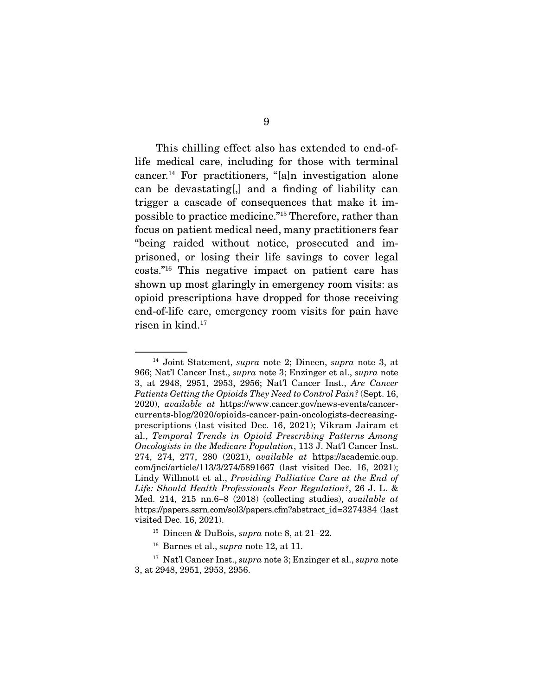This chilling effect also has extended to end-oflife medical care, including for those with terminal cancer.<sup>14</sup> For practitioners, "[a]n investigation alone can be devastating[,] and a finding of liability can trigger a cascade of consequences that make it impossible to practice medicine."15 Therefore, rather than focus on patient medical need, many practitioners fear "being raided without notice, prosecuted and imprisoned, or losing their life savings to cover legal costs."16 This negative impact on patient care has shown up most glaringly in emergency room visits: as opioid prescriptions have dropped for those receiving end-of-life care, emergency room visits for pain have risen in kind.<sup>17</sup>

<sup>&</sup>lt;sup>14</sup> Joint Statement, *supra* note 2; Dineen, *supra* note 3, at 966; Nat'l Cancer Inst., supra note 3; Enzinger et al., supra note 3, at 2948, 2951, 2953, 2956; Nat'l Cancer Inst., Are Cancer Patients Getting the Opioids They Need to Control Pain? (Sept. 16, 2020), available at https://www.cancer.gov/news-events/cancercurrents-blog/2020/opioids-cancer-pain-oncologists-decreasingprescriptions (last visited Dec. 16, 2021); Vikram Jairam et al., Temporal Trends in Opioid Prescribing Patterns Among Oncologists in the Medicare Population, 113 J. Nat'l Cancer Inst. 274, 274, 277, 280 (2021), available at https://academic.oup. com/jnci/article/113/3/274/5891667 (last visited Dec. 16, 2021); Lindy Willmott et al., Providing Palliative Care at the End of Life: Should Health Professionals Fear Regulation?, 26 J. L. & Med. 214, 215 nn.6–8 (2018) (collecting studies), available at https://papers.ssrn.com/sol3/papers.cfm?abstract\_id=3274384 (last visited Dec. 16, 2021).

<sup>&</sup>lt;sup>15</sup> Dineen & DuBois, *supra* note 8, at  $21-22$ .

 $16$  Barnes et al., *supra* note 12, at 11.

<sup>&</sup>lt;sup>17</sup> Nat'l Cancer Inst., *supra* note 3; Enzinger et al., *supra* note 3, at 2948, 2951, 2953, 2956.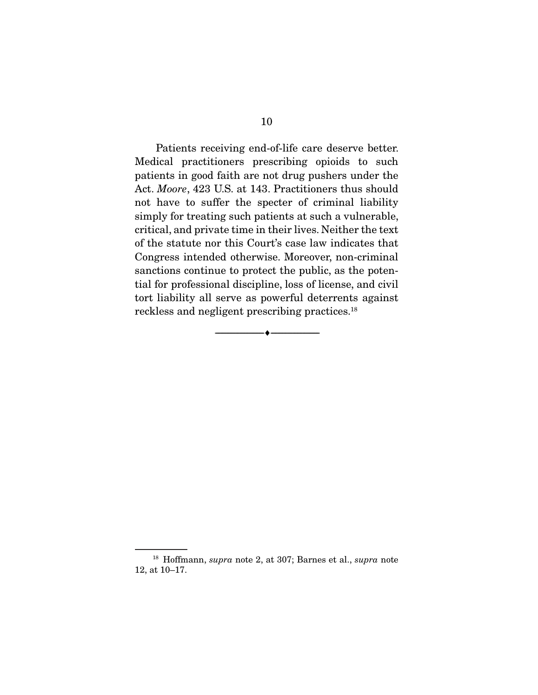Patients receiving end-of-life care deserve better. Medical practitioners prescribing opioids to such patients in good faith are not drug pushers under the Act. Moore, 423 U.S. at 143. Practitioners thus should not have to suffer the specter of criminal liability simply for treating such patients at such a vulnerable, critical, and private time in their lives. Neither the text of the statute nor this Court's case law indicates that Congress intended otherwise. Moreover, non-criminal sanctions continue to protect the public, as the potential for professional discipline, loss of license, and civil tort liability all serve as powerful deterrents against reckless and negligent prescribing practices.<sup>18</sup>

--------------------------------- ♦ ---------------------------------

<sup>&</sup>lt;sup>18</sup> Hoffmann, *supra* note 2, at 307; Barnes et al., *supra* note 12, at 10–17.